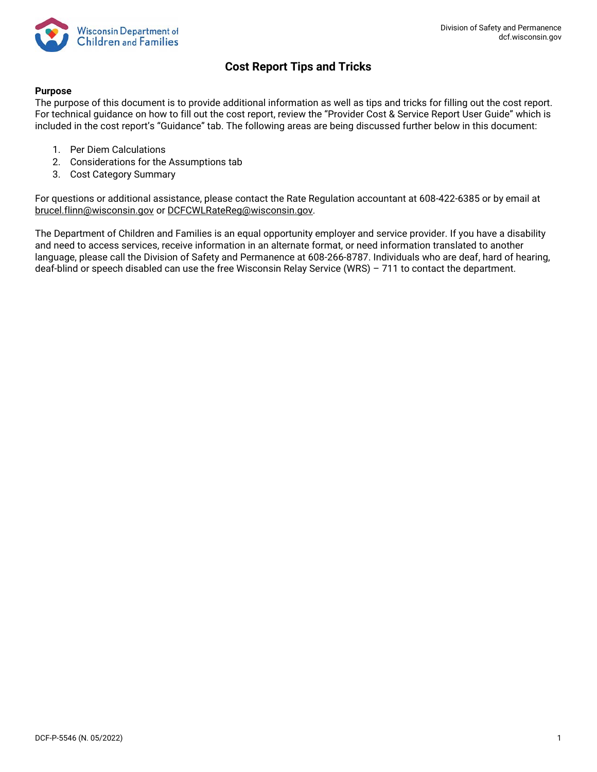

# **Cost Report Tips and Tricks**

## **Purpose**

The purpose of this document is to provide additional information as well as tips and tricks for filling out the cost report. For technical guidance on how to fill out the cost report, review the "Provider Cost & Service Report User Guide" which is included in the cost report's "Guidance" tab. The following areas are being discussed further below in this document:

- 1. Per Diem Calculations
- 2. Considerations for the Assumptions tab
- 3. Cost Category Summary

For questions or additional assistance, please contact the Rate Regulation accountant at 608-422-6385 or by email at [brucel.flinn@wisconsin.gov](mailto:brucel.flinn@wisconsin.gov) or [DCFCWLRateReg@wisconsin.gov.](mailto:DCFCWLRateReg@wisconsin.gov)

The Department of Children and Families is an equal opportunity employer and service provider. If you have a disability and need to access services, receive information in an alternate format, or need information translated to another language, please call the Division of Safety and Permanence at 608-266-8787. Individuals who are deaf, hard of hearing, deaf-blind or speech disabled can use the free Wisconsin Relay Service (WRS) – 711 to contact the department.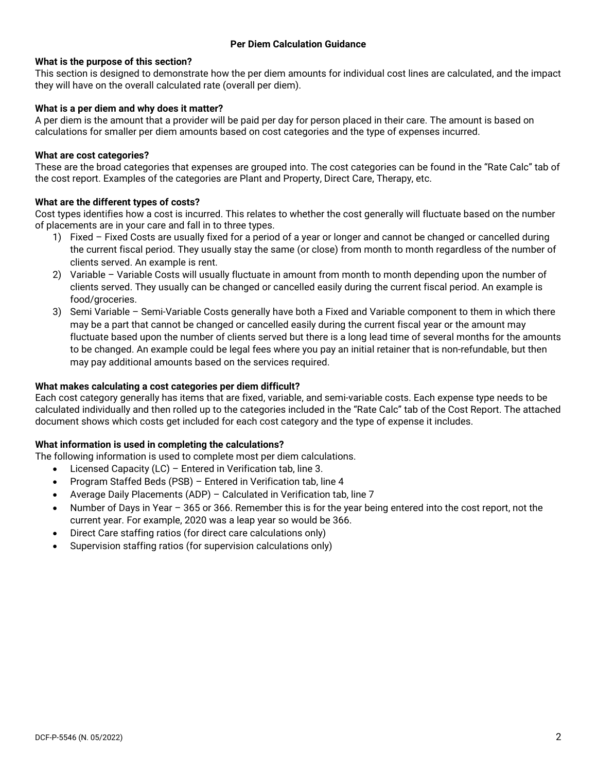## **What is the purpose of this section?**

This section is designed to demonstrate how the per diem amounts for individual cost lines are calculated, and the impact they will have on the overall calculated rate (overall per diem).

## **What is a per diem and why does it matter?**

A per diem is the amount that a provider will be paid per day for person placed in their care. The amount is based on calculations for smaller per diem amounts based on cost categories and the type of expenses incurred.

## **What are cost categories?**

These are the broad categories that expenses are grouped into. The cost categories can be found in the "Rate Calc" tab of the cost report. Examples of the categories are Plant and Property, Direct Care, Therapy, etc.

## **What are the different types of costs?**

Cost types identifies how a cost is incurred. This relates to whether the cost generally will fluctuate based on the number of placements are in your care and fall in to three types.

- 1) Fixed Fixed Costs are usually fixed for a period of a year or longer and cannot be changed or cancelled during the current fiscal period. They usually stay the same (or close) from month to month regardless of the number of clients served. An example is rent.
- 2) Variable Variable Costs will usually fluctuate in amount from month to month depending upon the number of clients served. They usually can be changed or cancelled easily during the current fiscal period. An example is food/groceries.
- 3) Semi Variable Semi-Variable Costs generally have both a Fixed and Variable component to them in which there may be a part that cannot be changed or cancelled easily during the current fiscal year or the amount may fluctuate based upon the number of clients served but there is a long lead time of several months for the amounts to be changed. An example could be legal fees where you pay an initial retainer that is non-refundable, but then may pay additional amounts based on the services required.

#### **What makes calculating a cost categories per diem difficult?**

Each cost category generally has items that are fixed, variable, and semi-variable costs. Each expense type needs to be calculated individually and then rolled up to the categories included in the "Rate Calc" tab of the Cost Report. The attached document shows which costs get included for each cost category and the type of expense it includes.

#### **What information is used in completing the calculations?**

The following information is used to complete most per diem calculations.

- Licensed Capacity (LC) Entered in Verification tab, line 3.
- Program Staffed Beds (PSB) Entered in Verification tab, line 4
- Average Daily Placements (ADP) Calculated in Verification tab, line 7
- Number of Days in Year 365 or 366. Remember this is for the year being entered into the cost report, not the current year. For example, 2020 was a leap year so would be 366.
- Direct Care staffing ratios (for direct care calculations only)
- Supervision staffing ratios (for supervision calculations only)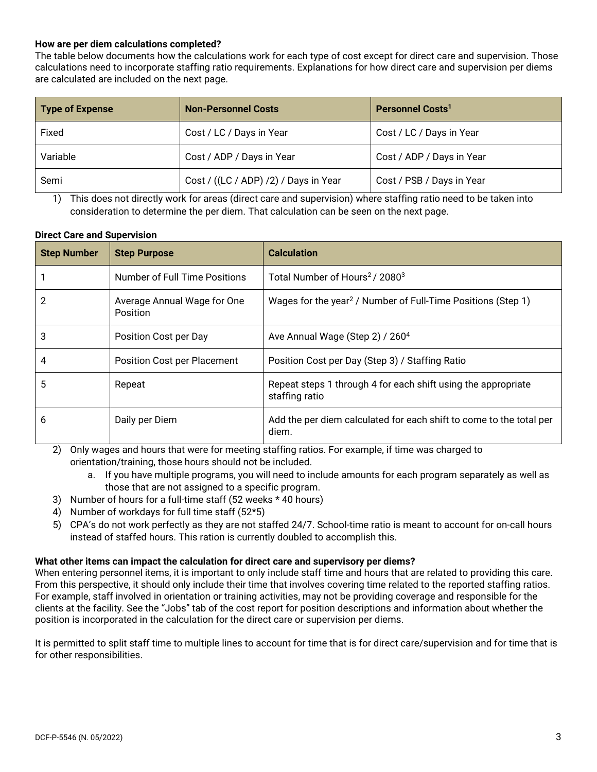## **How are per diem calculations completed?**

The table below documents how the calculations work for each type of cost except for direct care and supervision. Those calculations need to incorporate staffing ratio requirements. Explanations for how direct care and supervision per diems are calculated are included on the next page.

| Type of Expense | <b>Non-Personnel Costs</b>            | Personnel Costs <sup>1</sup> |
|-----------------|---------------------------------------|------------------------------|
| Fixed           | Cost / LC / Days in Year              | Cost / LC / Days in Year     |
| Variable        | Cost / ADP / Days in Year             | Cost / ADP / Days in Year    |
| Semi            | Cost / ((LC / ADP) /2) / Days in Year | Cost / PSB / Days in Year    |

1) This does not directly work for areas (direct care and supervision) where staffing ratio need to be taken into consideration to determine the per diem. That calculation can be seen on the next page.

## **Direct Care and Supervision**

| <b>Step Number</b> | <b>Step Purpose</b>                     | <b>Calculation</b>                                                              |
|--------------------|-----------------------------------------|---------------------------------------------------------------------------------|
|                    | Number of Full Time Positions           | Total Number of Hours <sup>2</sup> / 2080 <sup>3</sup>                          |
| 2                  | Average Annual Wage for One<br>Position | Wages for the year <sup>2</sup> / Number of Full-Time Positions (Step 1)        |
| 3                  | Position Cost per Day                   | Ave Annual Wage (Step 2) / 260 <sup>4</sup>                                     |
| 4                  | <b>Position Cost per Placement</b>      | Position Cost per Day (Step 3) / Staffing Ratio                                 |
| 5                  | Repeat                                  | Repeat steps 1 through 4 for each shift using the appropriate<br>staffing ratio |
| 6                  | Daily per Diem                          | Add the per diem calculated for each shift to come to the total per<br>diem.    |

2) Only wages and hours that were for meeting staffing ratios. For example, if time was charged to orientation/training, those hours should not be included.

- a. If you have multiple programs, you will need to include amounts for each program separately as well as those that are not assigned to a specific program.
- 3) Number of hours for a full-time staff (52 weeks \* 40 hours)
- 4) Number of workdays for full time staff (52\*5)
- 5) CPA's do not work perfectly as they are not staffed 24/7. School-time ratio is meant to account for on-call hours instead of staffed hours. This ration is currently doubled to accomplish this.

#### **What other items can impact the calculation for direct care and supervisory per diems?**

When entering personnel items, it is important to only include staff time and hours that are related to providing this care. From this perspective, it should only include their time that involves covering time related to the reported staffing ratios. For example, staff involved in orientation or training activities, may not be providing coverage and responsible for the clients at the facility. See the "Jobs" tab of the cost report for position descriptions and information about whether the position is incorporated in the calculation for the direct care or supervision per diems.

It is permitted to split staff time to multiple lines to account for time that is for direct care/supervision and for time that is for other responsibilities.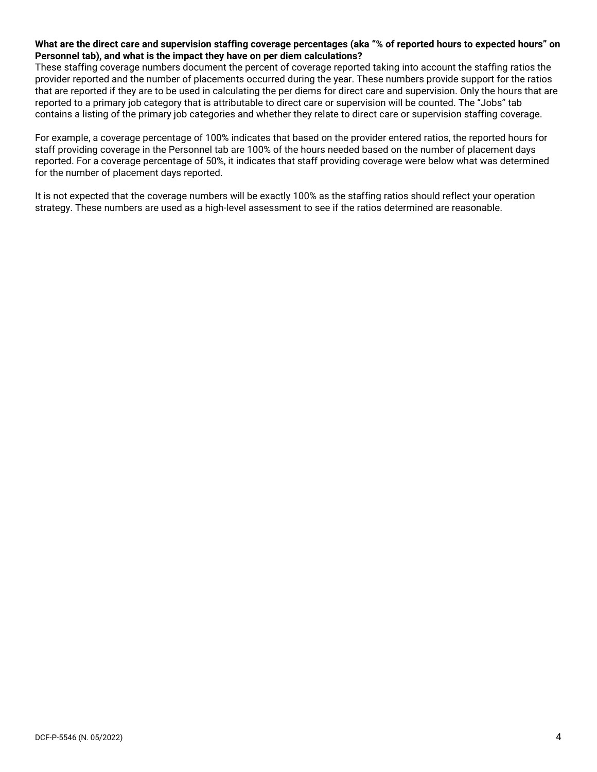## **What are the direct care and supervision staffing coverage percentages (aka "% of reported hours to expected hours" on Personnel tab), and what is the impact they have on per diem calculations?**

These staffing coverage numbers document the percent of coverage reported taking into account the staffing ratios the provider reported and the number of placements occurred during the year. These numbers provide support for the ratios that are reported if they are to be used in calculating the per diems for direct care and supervision. Only the hours that are reported to a primary job category that is attributable to direct care or supervision will be counted. The "Jobs" tab contains a listing of the primary job categories and whether they relate to direct care or supervision staffing coverage.

For example, a coverage percentage of 100% indicates that based on the provider entered ratios, the reported hours for staff providing coverage in the Personnel tab are 100% of the hours needed based on the number of placement days reported. For a coverage percentage of 50%, it indicates that staff providing coverage were below what was determined for the number of placement days reported.

It is not expected that the coverage numbers will be exactly 100% as the staffing ratios should reflect your operation strategy. These numbers are used as a high-level assessment to see if the ratios determined are reasonable.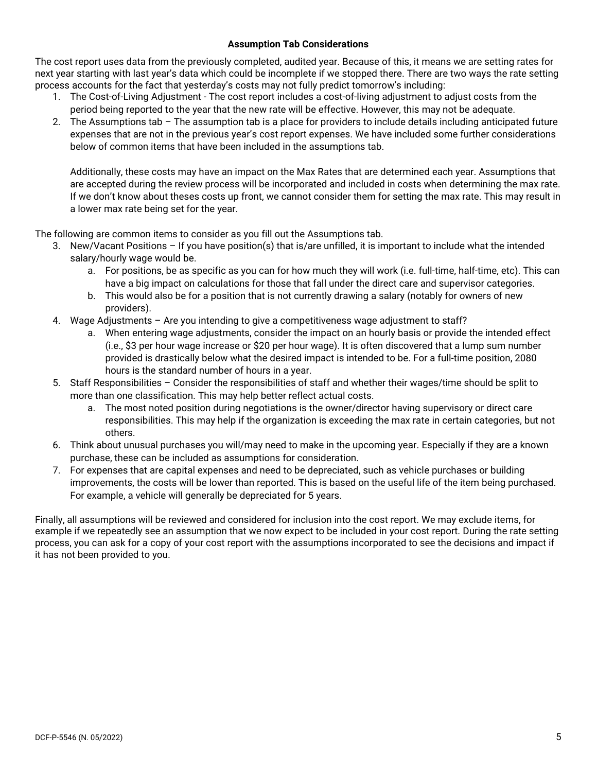## **Assumption Tab Considerations**

The cost report uses data from the previously completed, audited year. Because of this, it means we are setting rates for next year starting with last year's data which could be incomplete if we stopped there. There are two ways the rate setting process accounts for the fact that yesterday's costs may not fully predict tomorrow's including:

- 1. The Cost-of-Living Adjustment The cost report includes a cost-of-living adjustment to adjust costs from the period being reported to the year that the new rate will be effective. However, this may not be adequate.
- 2. The Assumptions tab The assumption tab is a place for providers to include details including anticipated future expenses that are not in the previous year's cost report expenses. We have included some further considerations below of common items that have been included in the assumptions tab.

Additionally, these costs may have an impact on the Max Rates that are determined each year. Assumptions that are accepted during the review process will be incorporated and included in costs when determining the max rate. If we don't know about theses costs up front, we cannot consider them for setting the max rate. This may result in a lower max rate being set for the year.

The following are common items to consider as you fill out the Assumptions tab.

- 3. New/Vacant Positions If you have position(s) that is/are unfilled, it is important to include what the intended salary/hourly wage would be.
	- a. For positions, be as specific as you can for how much they will work (i.e. full-time, half-time, etc). This can have a big impact on calculations for those that fall under the direct care and supervisor categories.
	- b. This would also be for a position that is not currently drawing a salary (notably for owners of new providers).
	- 4. Wage Adjustments Are you intending to give a competitiveness wage adjustment to staff?
		- a. When entering wage adjustments, consider the impact on an hourly basis or provide the intended effect (i.e., \$3 per hour wage increase or \$20 per hour wage). It is often discovered that a lump sum number provided is drastically below what the desired impact is intended to be. For a full-time position, 2080 hours is the standard number of hours in a year.
	- 5. Staff Responsibilities Consider the responsibilities of staff and whether their wages/time should be split to more than one classification. This may help better reflect actual costs.
		- a. The most noted position during negotiations is the owner/director having supervisory or direct care responsibilities. This may help if the organization is exceeding the max rate in certain categories, but not others.
	- 6. Think about unusual purchases you will/may need to make in the upcoming year. Especially if they are a known purchase, these can be included as assumptions for consideration.
	- 7. For expenses that are capital expenses and need to be depreciated, such as vehicle purchases or building improvements, the costs will be lower than reported. This is based on the useful life of the item being purchased. For example, a vehicle will generally be depreciated for 5 years.

Finally, all assumptions will be reviewed and considered for inclusion into the cost report. We may exclude items, for example if we repeatedly see an assumption that we now expect to be included in your cost report. During the rate setting process, you can ask for a copy of your cost report with the assumptions incorporated to see the decisions and impact if it has not been provided to you.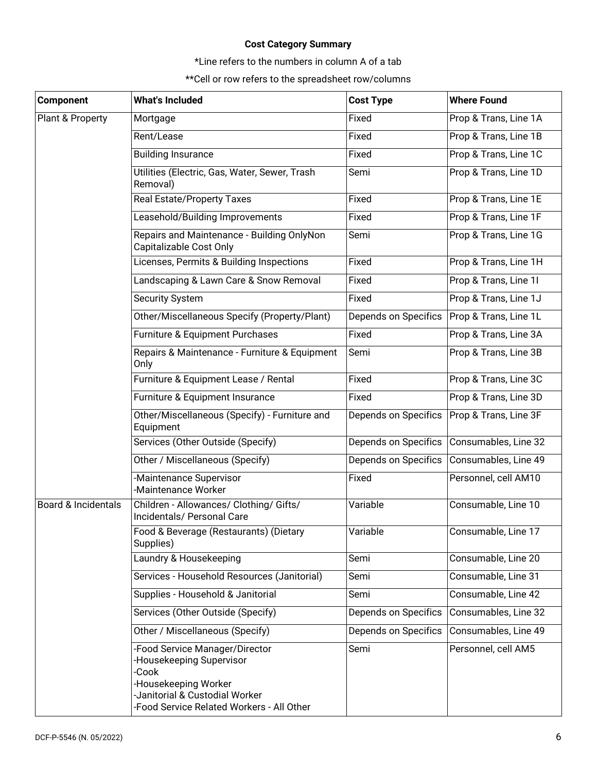## **Cost Category Summary**

\*Line refers to the numbers in column A of a tab

\*\*Cell or row refers to the spreadsheet row/columns

| <b>Component</b>               | <b>What's Included</b>                                                                                                                                                     | <b>Cost Type</b>     | <b>Where Found</b>    |
|--------------------------------|----------------------------------------------------------------------------------------------------------------------------------------------------------------------------|----------------------|-----------------------|
| Plant & Property               | Mortgage                                                                                                                                                                   | Fixed                | Prop & Trans, Line 1A |
|                                | Rent/Lease                                                                                                                                                                 | Fixed                | Prop & Trans, Line 1B |
|                                | <b>Building Insurance</b>                                                                                                                                                  | Fixed                | Prop & Trans, Line 1C |
|                                | Utilities (Electric, Gas, Water, Sewer, Trash<br>Removal)                                                                                                                  | Semi                 | Prop & Trans, Line 1D |
|                                | Real Estate/Property Taxes                                                                                                                                                 | Fixed                | Prop & Trans, Line 1E |
|                                | Leasehold/Building Improvements                                                                                                                                            | Fixed                | Prop & Trans, Line 1F |
|                                | Repairs and Maintenance - Building OnlyNon<br>Capitalizable Cost Only                                                                                                      | Semi                 | Prop & Trans, Line 1G |
|                                | Licenses, Permits & Building Inspections                                                                                                                                   | Fixed                | Prop & Trans, Line 1H |
|                                | Landscaping & Lawn Care & Snow Removal                                                                                                                                     | Fixed                | Prop & Trans, Line 11 |
|                                | <b>Security System</b>                                                                                                                                                     | Fixed                | Prop & Trans, Line 1J |
|                                | Other/Miscellaneous Specify (Property/Plant)                                                                                                                               | Depends on Specifics | Prop & Trans, Line 1L |
|                                | Furniture & Equipment Purchases                                                                                                                                            | Fixed                | Prop & Trans, Line 3A |
|                                | Repairs & Maintenance - Furniture & Equipment<br>Only                                                                                                                      | Semi                 | Prop & Trans, Line 3B |
|                                | Furniture & Equipment Lease / Rental                                                                                                                                       | Fixed                | Prop & Trans, Line 3C |
|                                | Furniture & Equipment Insurance                                                                                                                                            | Fixed                | Prop & Trans, Line 3D |
|                                | Other/Miscellaneous (Specify) - Furniture and<br>Equipment                                                                                                                 | Depends on Specifics | Prop & Trans, Line 3F |
|                                | Services (Other Outside (Specify)                                                                                                                                          | Depends on Specifics | Consumables, Line 32  |
|                                | Other / Miscellaneous (Specify)                                                                                                                                            | Depends on Specifics | Consumables, Line 49  |
|                                | Maintenance Supervisor<br>Maintenance Worker                                                                                                                               | Fixed                | Personnel, cell AM10  |
| <b>Board &amp; Incidentals</b> | Children - Allowances/ Clothing/ Gifts/<br>Incidentals/ Personal Care                                                                                                      | Variable             | Consumable, Line 10   |
|                                | Food & Beverage (Restaurants) (Dietary<br>Supplies)                                                                                                                        | Variable             | Consumable, Line 17   |
|                                | Laundry & Housekeeping                                                                                                                                                     | Semi                 | Consumable, Line 20   |
|                                | Services - Household Resources (Janitorial)                                                                                                                                | Semi                 | Consumable, Line 31   |
|                                | Supplies - Household & Janitorial                                                                                                                                          | Semi                 | Consumable, Line 42   |
|                                | Services (Other Outside (Specify)                                                                                                                                          | Depends on Specifics | Consumables, Line 32  |
|                                | Other / Miscellaneous (Specify)                                                                                                                                            | Depends on Specifics | Consumables, Line 49  |
|                                | -Food Service Manager/Director<br>-Housekeeping Supervisor<br>-Cook<br>-Housekeeping Worker<br>-Janitorial & Custodial Worker<br>-Food Service Related Workers - All Other | Semi                 | Personnel, cell AM5   |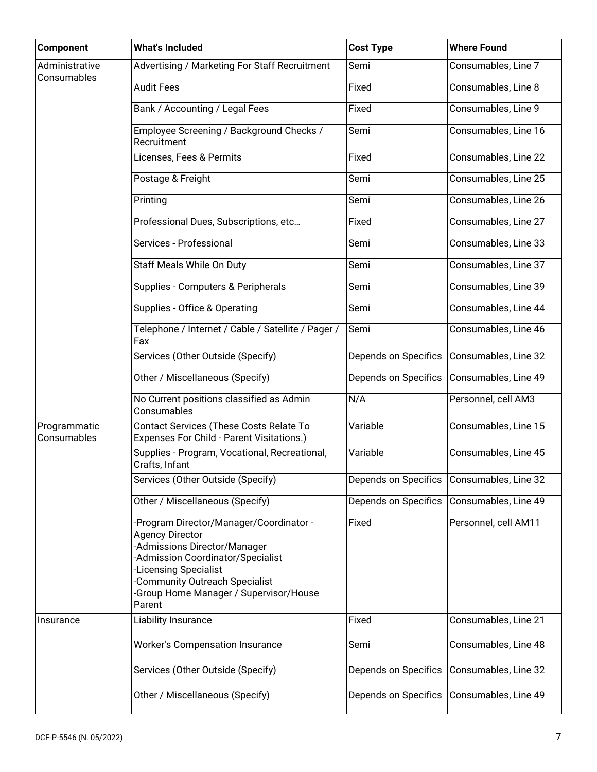| <b>Component</b>              | <b>What's Included</b>                                                                                                                                                                                                                                    | <b>Cost Type</b>     | <b>Where Found</b>   |
|-------------------------------|-----------------------------------------------------------------------------------------------------------------------------------------------------------------------------------------------------------------------------------------------------------|----------------------|----------------------|
| Administrative<br>Consumables | Advertising / Marketing For Staff Recruitment                                                                                                                                                                                                             | Semi                 | Consumables, Line 7  |
|                               | <b>Audit Fees</b>                                                                                                                                                                                                                                         | Fixed                | Consumables, Line 8  |
|                               | Bank / Accounting / Legal Fees                                                                                                                                                                                                                            | Fixed                | Consumables, Line 9  |
|                               | Employee Screening / Background Checks /<br>Recruitment                                                                                                                                                                                                   | Semi                 | Consumables, Line 16 |
|                               | Licenses, Fees & Permits                                                                                                                                                                                                                                  | Fixed                | Consumables, Line 22 |
|                               | Postage & Freight                                                                                                                                                                                                                                         | Semi                 | Consumables, Line 25 |
|                               | Printing                                                                                                                                                                                                                                                  | Semi                 | Consumables, Line 26 |
|                               | Professional Dues, Subscriptions, etc                                                                                                                                                                                                                     | Fixed                | Consumables, Line 27 |
|                               | Services - Professional                                                                                                                                                                                                                                   | Semi                 | Consumables, Line 33 |
|                               | Staff Meals While On Duty                                                                                                                                                                                                                                 | Semi                 | Consumables, Line 37 |
|                               | Supplies - Computers & Peripherals                                                                                                                                                                                                                        | Semi                 | Consumables, Line 39 |
|                               | Supplies - Office & Operating                                                                                                                                                                                                                             | Semi                 | Consumables, Line 44 |
|                               | Telephone / Internet / Cable / Satellite / Pager /<br>Fax                                                                                                                                                                                                 | Semi                 | Consumables, Line 46 |
|                               | Services (Other Outside (Specify)                                                                                                                                                                                                                         | Depends on Specifics | Consumables, Line 32 |
|                               | Other / Miscellaneous (Specify)                                                                                                                                                                                                                           | Depends on Specifics | Consumables, Line 49 |
|                               | No Current positions classified as Admin<br>Consumables                                                                                                                                                                                                   | N/A                  | Personnel, cell AM3  |
| Programmatic<br>Consumables   | Contact Services (These Costs Relate To<br>Expenses For Child - Parent Visitations.)                                                                                                                                                                      | Variable             | Consumables, Line 15 |
|                               | Supplies - Program, Vocational, Recreational,<br>Crafts, Infant                                                                                                                                                                                           | Variable             | Consumables, Line 45 |
|                               | Services (Other Outside (Specify)                                                                                                                                                                                                                         | Depends on Specifics | Consumables, Line 32 |
|                               | Other / Miscellaneous (Specify)                                                                                                                                                                                                                           | Depends on Specifics | Consumables, Line 49 |
|                               | -Program Director/Manager/Coordinator -<br><b>Agency Director</b><br>-Admissions Director/Manager<br>-Admission Coordinator/Specialist<br><b>Licensing Specialist</b><br>Community Outreach Specialist<br>Group Home Manager / Supervisor/House<br>Parent | Fixed                | Personnel, cell AM11 |
| Insurance                     | Liability Insurance                                                                                                                                                                                                                                       | Fixed                | Consumables, Line 21 |
|                               | Worker's Compensation Insurance                                                                                                                                                                                                                           | Semi                 | Consumables, Line 48 |
|                               | Services (Other Outside (Specify)                                                                                                                                                                                                                         | Depends on Specifics | Consumables, Line 32 |
|                               | Other / Miscellaneous (Specify)                                                                                                                                                                                                                           | Depends on Specifics | Consumables, Line 49 |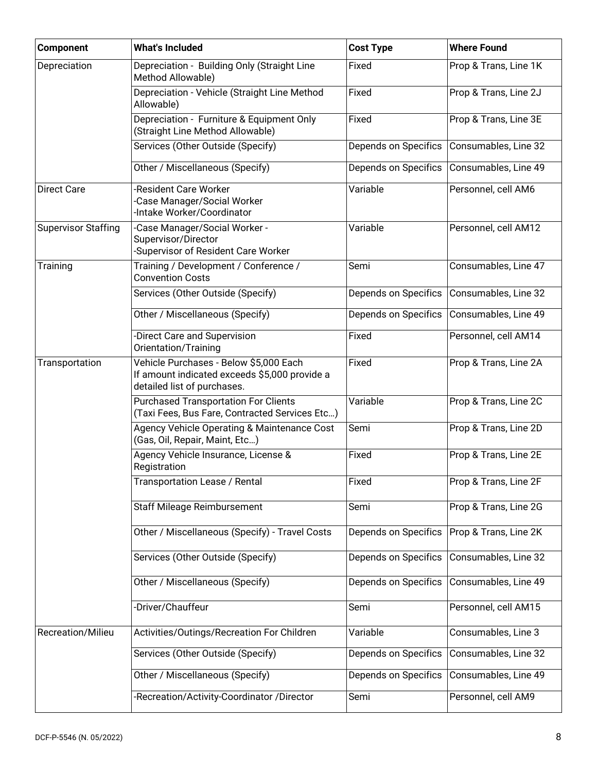| Component                  | <b>What's Included</b>                                                                                                 | <b>Cost Type</b>     | <b>Where Found</b>    |
|----------------------------|------------------------------------------------------------------------------------------------------------------------|----------------------|-----------------------|
| Depreciation               | Depreciation - Building Only (Straight Line<br>Method Allowable)                                                       | Fixed                | Prop & Trans, Line 1K |
|                            | Depreciation - Vehicle (Straight Line Method<br>Allowable)                                                             | Fixed                | Prop & Trans, Line 2J |
|                            | Depreciation - Furniture & Equipment Only<br>(Straight Line Method Allowable)                                          | Fixed                | Prop & Trans, Line 3E |
|                            | Services (Other Outside (Specify)                                                                                      | Depends on Specifics | Consumables, Line 32  |
|                            | Other / Miscellaneous (Specify)                                                                                        | Depends on Specifics | Consumables, Line 49  |
| <b>Direct Care</b>         | Resident Care Worker<br>Case Manager/Social Worker<br>Intake Worker/Coordinator                                        | Variable             | Personnel, cell AM6   |
| <b>Supervisor Staffing</b> | -Case Manager/Social Worker -<br>Supervisor/Director<br>-Supervisor of Resident Care Worker                            | Variable             | Personnel, cell AM12  |
| Training                   | Training / Development / Conference /<br><b>Convention Costs</b>                                                       | Semi                 | Consumables, Line 47  |
|                            | Services (Other Outside (Specify)                                                                                      | Depends on Specifics | Consumables, Line 32  |
|                            | Other / Miscellaneous (Specify)                                                                                        | Depends on Specifics | Consumables, Line 49  |
|                            | Direct Care and Supervision<br>Orientation/Training                                                                    | Fixed                | Personnel, cell AM14  |
| Transportation             | Vehicle Purchases - Below \$5,000 Each<br>If amount indicated exceeds \$5,000 provide a<br>detailed list of purchases. | Fixed                | Prop & Trans, Line 2A |
|                            | <b>Purchased Transportation For Clients</b><br>(Taxi Fees, Bus Fare, Contracted Services Etc)                          | Variable             | Prop & Trans, Line 2C |
|                            | Agency Vehicle Operating & Maintenance Cost<br>(Gas, Oil, Repair, Maint, Etc)                                          | Semi                 | Prop & Trans, Line 2D |
|                            | Agency Vehicle Insurance, License &<br>Registration                                                                    | Fixed                | Prop & Trans, Line 2E |
|                            | Transportation Lease / Rental                                                                                          | Fixed                | Prop & Trans, Line 2F |
|                            | <b>Staff Mileage Reimbursement</b>                                                                                     | Semi                 | Prop & Trans, Line 2G |
|                            | Other / Miscellaneous (Specify) - Travel Costs                                                                         | Depends on Specifics | Prop & Trans, Line 2K |
|                            | Services (Other Outside (Specify)                                                                                      | Depends on Specifics | Consumables, Line 32  |
|                            | Other / Miscellaneous (Specify)                                                                                        | Depends on Specifics | Consumables, Line 49  |
|                            | -Driver/Chauffeur                                                                                                      | Semi                 | Personnel, cell AM15  |
| Recreation/Milieu          | Activities/Outings/Recreation For Children                                                                             | Variable             | Consumables, Line 3   |
|                            | Services (Other Outside (Specify)                                                                                      | Depends on Specifics | Consumables, Line 32  |
|                            | Other / Miscellaneous (Specify)                                                                                        | Depends on Specifics | Consumables, Line 49  |
|                            | -Recreation/Activity-Coordinator /Director                                                                             | Semi                 | Personnel, cell AM9   |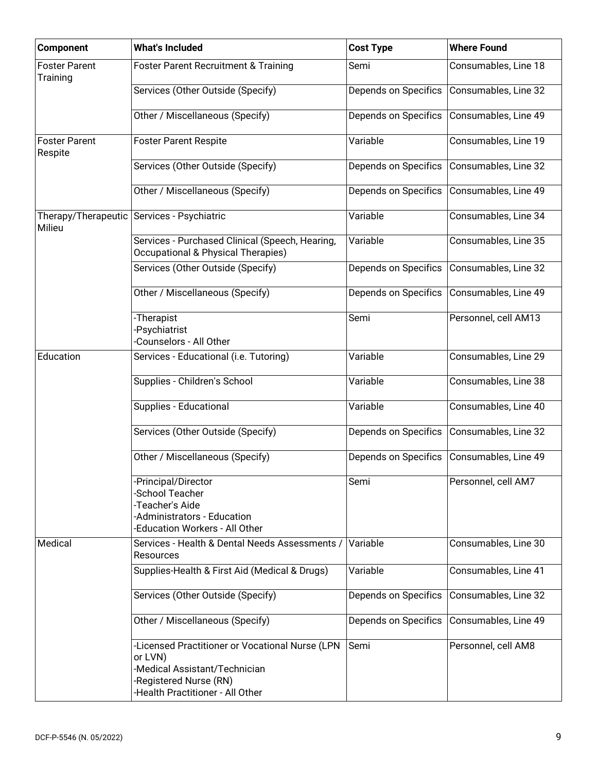| <b>Component</b>                 | <b>What's Included</b>                                                                                                                                    | <b>Cost Type</b>     | <b>Where Found</b>   |
|----------------------------------|-----------------------------------------------------------------------------------------------------------------------------------------------------------|----------------------|----------------------|
| <b>Foster Parent</b><br>Training | <b>Foster Parent Recruitment &amp; Training</b>                                                                                                           | Semi                 | Consumables, Line 18 |
|                                  | Services (Other Outside (Specify)                                                                                                                         | Depends on Specifics | Consumables, Line 32 |
|                                  | Other / Miscellaneous (Specify)                                                                                                                           | Depends on Specifics | Consumables, Line 49 |
| <b>Foster Parent</b><br>Respite  | <b>Foster Parent Respite</b>                                                                                                                              | Variable             | Consumables, Line 19 |
|                                  | Services (Other Outside (Specify)                                                                                                                         | Depends on Specifics | Consumables, Line 32 |
|                                  | Other / Miscellaneous (Specify)                                                                                                                           | Depends on Specifics | Consumables, Line 49 |
| Milieu                           | Therapy/Therapeutic Services - Psychiatric                                                                                                                | Variable             | Consumables, Line 34 |
|                                  | Services - Purchased Clinical (Speech, Hearing,<br>Occupational & Physical Therapies)                                                                     | Variable             | Consumables, Line 35 |
|                                  | Services (Other Outside (Specify)                                                                                                                         | Depends on Specifics | Consumables, Line 32 |
|                                  | Other / Miscellaneous (Specify)                                                                                                                           | Depends on Specifics | Consumables, Line 49 |
|                                  | -Therapist<br>Psychiatrist<br>Counselors - All Other                                                                                                      | Semi                 | Personnel, cell AM13 |
| Education                        | Services - Educational (i.e. Tutoring)                                                                                                                    | Variable             | Consumables, Line 29 |
|                                  | Supplies - Children's School                                                                                                                              | Variable             | Consumables, Line 38 |
|                                  | Supplies - Educational                                                                                                                                    | Variable             | Consumables, Line 40 |
|                                  | Services (Other Outside (Specify)                                                                                                                         | Depends on Specifics | Consumables, Line 32 |
|                                  | Other / Miscellaneous (Specify)                                                                                                                           | Depends on Specifics | Consumables, Line 49 |
|                                  | -Principal/Director<br>-School Teacher<br>-Teacher's Aide<br>-Administrators - Education<br>-Education Workers - All Other                                | Semi                 | Personnel, cell AM7  |
| Medical                          | Services - Health & Dental Needs Assessments /<br>Resources                                                                                               | Variable             | Consumables, Line 30 |
|                                  | Supplies-Health & First Aid (Medical & Drugs)                                                                                                             | Variable             | Consumables, Line 41 |
|                                  | Services (Other Outside (Specify)                                                                                                                         | Depends on Specifics | Consumables, Line 32 |
|                                  | Other / Miscellaneous (Specify)                                                                                                                           | Depends on Specifics | Consumables, Line 49 |
|                                  | -Licensed Practitioner or Vocational Nurse (LPN<br>or LVN)<br>-Medical Assistant/Technician<br>-Registered Nurse (RN)<br>-Health Practitioner - All Other | Semi                 | Personnel, cell AM8  |